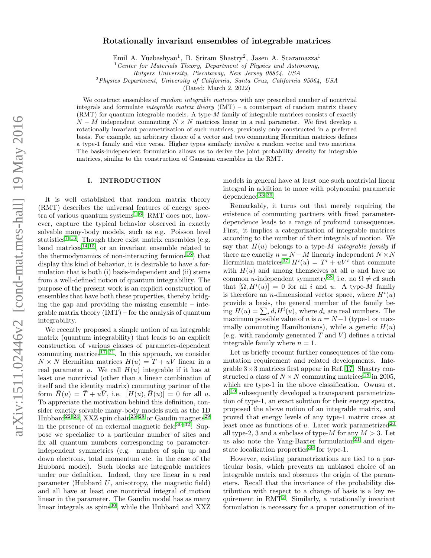# Rotationally invariant ensembles of integrable matrices

Emil A. Yuzbashyan<sup>1</sup>, B. Sriram Shastry<sup>2</sup>, Jasen A. Scaramazza<sup>1</sup>

Center for Materials Theory, Department of Physics and Astronomy,

Rutgers University, Piscataway, New Jersey 08854, USA

 ${}^{2}$ Physics Department, University of California, Santa Cruz, California 95064, USA

(Dated: March 2, 2022)

We construct ensembles of *random integrable matrices* with any prescribed number of nontrivial integrals and formulate *integrable matrix theory*  $(IMT)$  – a counterpart of random matrix theory (RMT) for quantum integrable models. A type-M family of integrable matrices consists of exactly  $N - M$  independent commuting  $N \times N$  matrices linear in a real parameter. We first develop a rotationally invariant parametrization of such matrices, previously only constructed in a preferred basis. For example, an arbitrary choice of a vector and two commuting Hermitian matrices defines a type-1 family and vice versa. Higher types similarly involve a random vector and two matrices. The basis-independent formulation allows us to derive the joint probability density for integrable matrices, similar to the construction of Gaussian ensembles in the RMT.

## I. INTRODUCTION

It is well established that random matrix theory (RMT) describes the universal features of energy spec-tra of various quantum systems<sup>[1–](#page-9-0)[6](#page-9-1)</sup>. RMT does not, however, capture the typical behavior observed in exactly solvable many-body models, such as e.g. Poisson level statistics<sup>[7](#page-9-2)-13</sup>. Though there exist matrix ensembles (e.g. band matrices<sup>[14,](#page-9-4)[15](#page-9-5)</sup>, or an invariant ensemble related to the thermodynamics of non-interacting fermions<sup>[16](#page-9-6)</sup>) that display this kind of behavior, it is desirable to have a formulation that is both (i) basis-independent and (ii) stems from a well-defined notion of quantum integrability. The purpose of the present work is an explicit construction of ensembles that have both these properties, thereby bridging the gap and providing the missing ensemble – integrable matrix theory  $(IMT)$  – for the analysis of quantum integrability.

We recently proposed a simple notion of an integrable matrix (quantum integrability) that leads to an explicit construction of various classes of parameter-dependent commuting matrices $17-21$  $17-21$ . In this approach, we consider  $N \times N$  Hermitian matrices  $H(u) = T + uV$  linear in a real parameter u. We call  $H(u)$  integrable if it has at least one nontrivial (other than a linear combination of itself and the identity matrix) commuting partner of the form  $\bar{H}(u) = \bar{T} + u\bar{V}$ , i.e.  $[H(u), \bar{H}(u)] = 0$  for all u. To appreciate the motivation behind this definition, consider exactly solvable many-body models such as the 1D Hubbard<sup>[22](#page-9-9)[–24](#page-9-10)</sup>, XXZ spin chain<sup>[25](#page-9-11)[–28](#page-9-12)</sup> or Gaudin magnets<sup>[29](#page-9-13)</sup> in the presence of an external magnetic field  $30-32$  $30-32$ . Suppose we specialize to a particular number of sites and fix all quantum numbers corresponding to parameterindependent symmetries (e.g. number of spin up and down electrons, total momentum etc. in the case of the Hubbard model). Such blocks are integrable matrices under our definition. Indeed, they are linear in a real parameter (Hubbard  $U$ , anisotropy, the magnetic field) and all have at least one nontrivial integral of motion linear in the parameter. The Gaudin model has as many linear integrals as  $\text{spins}^{30}$  $\text{spins}^{30}$  $\text{spins}^{30}$ , while the Hubbard and XXZ models in general have at least one such nontrivial linear integral in addition to more with polynomial parametric dependence<sup>[33](#page-9-16)-36</sup>.

Remarkably, it turns out that merely requiring the existence of commuting partners with fixed parameterdependence leads to a range of profound consequences. First, it implies a categorization of integrable matrices according to the number of their integrals of motion. We say that  $H(u)$  belongs to a type-M integrable family if there are exactly  $n = N - M$  linearly independent  $N \times N$ Hermitian matrices<sup>[37](#page-10-0)</sup>  $H^{i}(u) = T^{i} + uV^{i}$  that commute with  $H(u)$  and among themselves at all u and have no common u-independent symmetry<sup>[38](#page-10-1)</sup>, i.e. no  $\Omega \neq c\mathbb{1}$  such that  $[\Omega, H^i(u)] = 0$  for all i and u. A type-M family is therefore an *n*-dimensional vector space, where  $H^{i}(u)$ provide a basis, the general member of the family being  $H(u) = \sum_i d_i H^i(u)$ , where  $d_i$  are real numbers. The maximum possible value of n is  $n = N - 1$  (type-1 or maximally commuting Hamiltonians), while a generic  $H(u)$ (e.g. with randomly generated  $T$  and  $V$ ) defines a trivial integrable family where  $n = 1$ .

Let us briefly recount further consequences of the commutation requirement and related developments. Integrable  $3 \times 3$  matrices first appear in Ref. [17.](#page-9-7) Shastry constructed a class of  $N \times N$  commuting matrices<sup>[18](#page-9-18)</sup> in 2005, which are type-1 in the above classification. Owusu et. al.[19](#page-9-19) subsequently developed a transparent parametrization of type-1, an exact solution for their energy spectra, proposed the above notion of an integrable matrix, and proved that energy levels of any type-1 matrix cross at least once as functions of u. Later work parametrized<sup>[20](#page-9-20)</sup> all type-2, 3 and a subclass of type-M for any  $M > 3$ . Let us also note the Yang-Baxter formulation<sup>[21](#page-9-8)</sup> and eigen-state localization properties<sup>[39](#page-10-2)</sup> for type-1.

However, existing parametrizations are tied to a particular basis, which prevents an unbiased choice of an integrable matrix and obscures the origin of the parameters. Recall that the invariance of the probability distribution with respect to a change of basis is a key re-quirement in RMT<sup>[2](#page-9-21)</sup>. Similarly, a rotationally invariant formulation is necessary for a proper construction of in-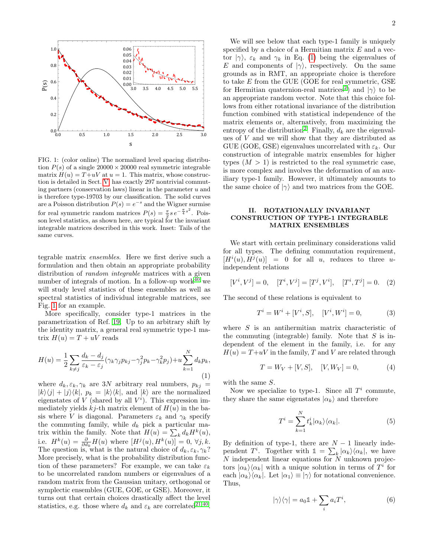

<span id="page-1-0"></span>FIG. 1: (color online) The normalized level spacing distribution  $P(s)$  of a single  $20000 \times 20000$  real symmetric integrable matrix  $H(u) = T + uV$  at  $u = 1$ . This matrix, whose construction is detailed in Sect. [V,](#page-4-0) has exactly 297 nontrivial commuting partners (conservation laws) linear in the parameter  $u$  and is therefore type-19703 by our classification. The solid curves are a Poisson distribution  $P(s) = e^{-s}$  and the Wigner surmise for real symmetric random matrices  $P(s) = \frac{\pi}{2} s e^{-\frac{\pi}{4} s^2}$ . Poisson level statistics, as shown here, are typical for the invariant integrable matrices described in this work. Inset: Tails of the same curves.

tegrable matrix ensembles. Here we first derive such a formulation and then obtain an appropriate probability distribution of *random integrable* matrices with a given number of integrals of motion. In a follow-up work $40$  we will study level statistics of these ensembles as well as spectral statistics of individual integrable matrices, see Fig. [1](#page-1-0) for an example.

More specifically, consider type-1 matrices in the parametrization of Ref. [19.](#page-9-19) Up to an arbitrary shift by the identity matrix, a general real symmetric type-1 matrix  $H(u) = T + uV$  reads

<span id="page-1-1"></span>
$$
H(u) = \frac{1}{2} \sum_{k \neq j} \frac{d_k - d_j}{\varepsilon_k - \varepsilon_j} (\gamma_k \gamma_j p_{kj} - \gamma_j^2 p_k - \gamma_k^2 p_j) + u \sum_{k=1}^N d_k p_k,
$$
\n(1)

where  $d_k, \varepsilon_k, \gamma_k$  are 3N arbitrary real numbers,  $p_{kj} =$  $|k\rangle\langle j| + |j\rangle\langle k|, p_k = |k\rangle\langle k|, \text{ and } |k\rangle \text{ are the normalized}$ eigenstates of V (shared by all  $V<sup>i</sup>$ ). This expression immediately yields  $kj$ -th matrix element of  $H(u)$  in the basis where V is diagonal. Parameters  $\varepsilon_k$  and  $\gamma_k$  specify the commuting family, while  $d_k$  pick a particular matrix within the family. Note that  $H(u) = \sum_k d_k H^k(u)$ , i.e.  $H^k(u) = \frac{\partial}{\partial d_k} H(u)$  where  $[H^j(u), H^k(u)] = 0, \forall j, k$ . The question is, what is the natural choice of  $d_k, \varepsilon_k, \gamma_k$ ? More precisely, what is the probability distribution function of these parameters? For example, we can take  $\varepsilon_k$ to be uncorrelated random numbers or eigenvalues of a random matrix from the Gaussian unitary, orthogonal or symplectic ensembles (GUE, GOE, or GSE). Moreover, it turns out that certain choices drastically affect the level statistics, e.g. those where  $d_k$  and  $\varepsilon_k$  are correlated<sup>[21,](#page-9-8)[40](#page-10-3)</sup>.

We will see below that each type-1 family is uniquely specified by a choice of a Hermitian matrix  $E$  and a vector  $|\gamma\rangle$ ,  $\varepsilon_k$  and  $\gamma_k$  in Eq. [\(1\)](#page-1-1) being the eigenvalues of E and components of  $|\gamma\rangle$ , respectively. On the same grounds as in RMT, an appropriate choice is therefore to take E from the GUE (GOE for real symmetric, GSE for Hermitian quaternion-real matrices<sup>[2](#page-9-21)</sup>) and  $|\gamma\rangle$  to be an appropriate random vector. Note that this choice follows from either rotational invariance of the distribution function combined with statistical independence of the matrix elements or, alternatively, from maximizing the entropy of the distribution<sup>[2](#page-9-21)</sup>. Finally,  $d_k$  are the eigenvalues of  $V$  and we will show that they are distributed as GUE (GOE, GSE) eigenvalues uncorrelated with  $\varepsilon_k$ . Our construction of integrable matrix ensembles for higher types  $(M > 1)$  is restricted to the real symmetric case, is more complex and involves the deformation of an auxiliary type-1 family. However, it ultimately amounts to the same choice of  $|\gamma\rangle$  and two matrices from the GOE.

# <span id="page-1-4"></span>II. ROTATIONALLY INVARIANT CONSTRUCTION OF TYPE-1 INTEGRABLE MATRIX ENSEMBLES

We start with certain preliminary considerations valid for all types. The defining commutation requirement,  $[H<sup>i</sup>(u), H<sup>j</sup>(u)] = 0$  for all u, reduces to three uindependent relations

<span id="page-1-3"></span>
$$
[V^i, V^j] = 0, \quad [T^i, V^j] = [T^j, V^i], \quad [T^i, T^j] = 0. \quad (2)
$$

The second of these relations is equivalent to

<span id="page-1-2"></span>
$$
T^{i} = W^{i} + [V^{i}, S], \quad [V^{i}, W^{i}] = 0,
$$
 (3)

where S is an antihermitian matrix characteristic of the commuting (integrable) family. Note that  $S$  is independent of the element in the family, i.e. for any  $H(u) = T+uV$  in the family, T and V are related through

<span id="page-1-5"></span>
$$
T = W_V + [V, S], \quad [V, W_V] = 0,\tag{4}
$$

with the same S.

Now we specialize to type-1. Since all  $T<sup>i</sup>$  commute, they share the same eigenstates  $|\alpha_k\rangle$  and therefore

$$
T^{i} = \sum_{k=1}^{N} t_{k}^{i} |\alpha_{k}\rangle\langle\alpha_{k}|.
$$
 (5)

By definition of type-1, there are  $N-1$  linearly independent  $T^i$ . Together with  $\mathbb{1} = \sum_k |\alpha_k\rangle\langle\alpha_k|$ , we have  $N$  independent linear equations for  $N$  unknown projectors  $|\alpha_k\rangle\langle\alpha_k|$  with a unique solution in terms of  $T^i$  for each  $|\alpha_k\rangle\langle\alpha_k|$ . Let  $|\alpha_1\rangle \equiv |\gamma\rangle$  for notational convenience. Thus,

$$
|\gamma\rangle\langle\gamma| = a_0 \mathbb{1} + \sum_i a_i T^i,\tag{6}
$$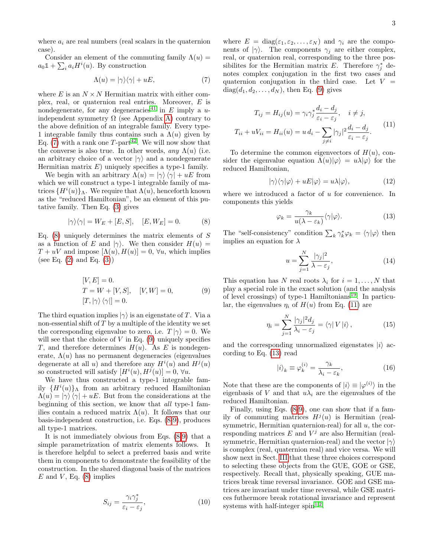where  $a_i$  are real numbers (real scalars in the quaternion case).

Consider an element of the commuting family  $\Lambda(u)$  =  $a_0 \mathbb{1} + \sum_i a_i H^i(u)$ . By construction

<span id="page-2-0"></span>
$$
\Lambda(u) = |\gamma\rangle\langle\gamma| + uE,\tag{7}
$$

where E is an  $N \times N$  Hermitian matrix with either complex, real, or quaternion real entries. Moreover, E is nondegenerate, for any degeneracies<sup>[41](#page-10-4)</sup> in E imply a uindependent symmetry  $\Omega$  (see Appendix [A\)](#page-7-0) contrary to the above definition of an integrable family. Every type-1 integrable family thus contains such a  $\Lambda(u)$  given by Eq.  $(7)$  with a rank one T-part<sup>[42](#page-10-5)</sup>. We will now show that the converse is also true. In other words, any  $\Lambda(u)$  (i.e. an arbitrary choice of a vector  $|\gamma\rangle$  and a nondegenerate Hermitian matrix  $E$ ) uniquely specifies a type-1 family.

We begin with an arbitrary  $\Lambda(u) = |\gamma\rangle \langle \gamma| + uE$  from which we will construct a type-1 integrable family of matrices  $\{H^i(u)\}_\Lambda$ . We require that  $\Lambda(u)$ , henceforth known as the "reduced Hamiltonian", be an element of this putative family. Then Eq. [\(3\)](#page-1-2) gives

<span id="page-2-1"></span>
$$
|\gamma\rangle\langle\gamma| = W_E + [E, S], \quad [E, W_E] = 0. \tag{8}
$$

Eq.  $(8)$  uniquely determines the matrix elements of S as a function of E and  $|\gamma\rangle$ . We then consider  $H(u)$  =  $T + uV$  and impose  $[\Lambda(u), H(u)] = 0$ ,  $\forall u$ , which implies (see Eq.  $(2)$  and Eq.  $(3)$ )

$$
[V, E] = 0.
$$
  
\n
$$
T = W + [V, S], \quad [V, W] = 0,
$$
  
\n
$$
[T, |\gamma\rangle \langle \gamma|] = 0.
$$
\n(9)

<span id="page-2-2"></span>The third equation implies  $|\gamma\rangle$  is an eigenstate of T. Via a non-essential shift of  $T$  by a multiple of the identity we set the corresponding eigenvalue to zero, i.e.  $T |\gamma\rangle = 0$ . We will see that the choice of  $V$  in Eq.  $(9)$  uniquely specifies T, and therefore determines  $H(u)$ . As E is nondegenerate,  $\Lambda(u)$  has no permanent degeneracies (eigenvalues degenerate at all u) and therefore any  $H^{i}(u)$  and  $H^{j}(u)$ so constructed will satisfy  $[H^{i}(u), H^{j}(u)] = 0, \forall u$ .

We have thus constructed a type-1 integrable family  ${H<sup>i</sup>(u)}$  from an arbitrary reduced Hamiltonian  $\Lambda(u) = |\gamma\rangle \langle \gamma| + uE$ . But from the considerations at the beginning of this section, we know that all type-1 families contain a reduced matrix  $\Lambda(u)$ . It follows that our basis-independent construction, i.e. Eqs. [\(8-](#page-2-1)[9\)](#page-2-2), produces all type-1 matrices.

It is not immediately obvious from Eqs. [\(8-](#page-2-1)[9\)](#page-2-2) that a simple parametrization of matrix elements follows. It is therefore helpful to select a preferred basis and write them in components to demonstrate the feasibility of the construction. In the shared diagonal basis of the matrices  $E$  and  $V$ , Eq. [\(8\)](#page-2-1) implies

$$
S_{ij} = \frac{\gamma_i \gamma_j^*}{\varepsilon_i - \varepsilon_j},\tag{10}
$$

where  $E = diag(\varepsilon_1, \varepsilon_2, \dots, \varepsilon_N)$  and  $\gamma_i$  are the components of  $|\gamma\rangle$ . The components  $\gamma_i$  are either complex, real, or quaternion real, corresponding to the three possibilites for the Hermitian matrix E. Therefore  $\gamma_j^*$  denotes complex conjugation in the first two cases and quaternion conjugation in the third case. Let  $V =$  $diag(d_1, d_2, \ldots, d_N)$ , then Eq. [\(9\)](#page-2-2) gives

<span id="page-2-3"></span>
$$
T_{ij} = H_{ij}(u) = \gamma_i \gamma_j^* \frac{d_i - d_j}{\varepsilon_i - \varepsilon_j}, \quad i \neq j,
$$
  

$$
T_{ii} + uV_{ii} = H_{ii}(u) = u d_i - \sum_{j \neq i} |\gamma_j|^2 \frac{d_i - d_j}{\varepsilon_i - \varepsilon_j}.
$$
 (11)

To determine the common eigenvectors of  $H(u)$ , consider the eigenvalue equation  $\Lambda(u)|\varphi\rangle = u\lambda|\varphi\rangle$  for the reduced Hamiltonian,

$$
|\gamma\rangle\langle\gamma|\varphi\rangle + uE|\varphi\rangle = u\lambda|\varphi\rangle, \qquad (12)
$$

where we introduced a factor of  $u$  for convenience. In components this yields

<span id="page-2-4"></span>
$$
\varphi_k = \frac{\gamma_k}{u(\lambda - \varepsilon_k)} \langle \gamma | \varphi \rangle.
$$
 (13)

The "self-consistency" condition  $\sum_{k} \gamma_{k}^{*} \varphi_{k} = \langle \gamma | \varphi \rangle$  then implies an equation for  $\lambda$ 

$$
u = \sum_{j=1}^{N} \frac{|\gamma_j|^2}{\lambda - \varepsilon_j},\tag{14}
$$

<span id="page-2-5"></span>This equation has N real roots  $\lambda_i$  for  $i = 1, \ldots, N$  that play a special role in the exact solution (and the analysis of level crossings) of type-1 Hamiltonians<sup>[19](#page-9-19)</sup>. In particular, the eigenvalues  $\eta_i$  of  $H(u)$  from Eq. [\(11\)](#page-2-3) are

$$
\eta_i = \sum_{j=1}^{N} \frac{|\gamma_j|^2 d_j}{\lambda_i - \varepsilon_j} = \langle \gamma | V | i \rangle, \qquad (15)
$$

and the corresponding unnormalized eigenstates  $|i\rangle$  according to Eq. [\(13\)](#page-2-4) read

<span id="page-2-6"></span>
$$
|i\rangle_{k} \equiv \varphi_{k}^{(i)} = \frac{\gamma_{k}}{\lambda_{i} - \varepsilon_{k}},
$$
\n(16)

Note that these are the components of  $|i\rangle \equiv |\varphi^{(i)}\rangle$  in the eigenbasis of V and that  $u\lambda_i$  are the eigenvalues of the reduced Hamiltonian.

Finally, using Eqs. [\(8](#page-2-1)[-9\)](#page-2-2), one can show that if a family of commuting matrices  $H^j(u)$  is Hermitian (realsymmetric, Hermitian quaternion-real) for all  $u$ , the corresponding matrices  $E$  and  $V^j$  are also Hermitian (realsymmetric, Hermitian quaternion-real) and the vector  $|\gamma\rangle$ is complex (real, quaternion real) and vice versa. We will show next in Sect. [III](#page-3-0) that these three choices correspond to selecting these objects from the GUE, GOE or GSE, respectively. Recall that, physically speaking, GUE matrices break time reversal invariance. GOE and GSE matrices are invariant under time reversal, while GSE matrices futhermore break rotational invariance and represent systems with half-integer spin<sup>[1](#page-9-0)[,2](#page-9-21)</sup>.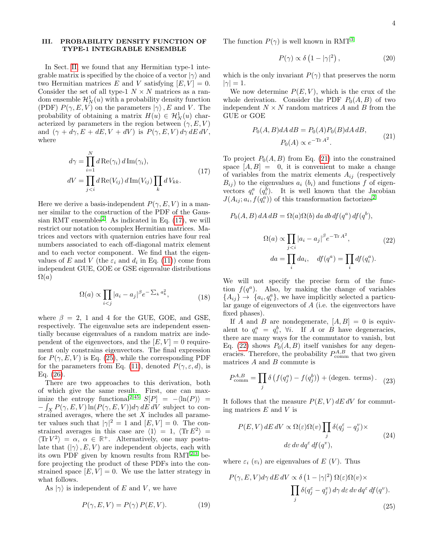# <span id="page-3-0"></span>III. PROBABILITY DENSITY FUNCTION OF TYPE-1 INTEGRABLE ENSEMBLE

In Sect. [II,](#page-1-4) we found that any Hermitian type-1 integrable matrix is specified by the choice of a vector  $|\gamma\rangle$  and two Hermitian matrices E and V satisfying  $[E, V] = 0$ . Consider the set of all type-1  $N \times N$  matrices as a random ensemble  $\mathcal{H}_N^1(u)$  with a probability density function (PDF)  $P(\gamma, E, V)$  on the parameters  $|\gamma\rangle$ , E and V. The probability of obtaining a matrix  $H(u) \in \mathcal{H}_N^1(u)$  characterized by parameters in the region between  $(\gamma, E, V)$ and  $(\gamma + d\gamma, E + dE, V + dV)$  is  $P(\gamma, E, V) d\gamma dE dV$ , where

<span id="page-3-1"></span>
$$
d\gamma = \prod_{i=1}^{N} d \operatorname{Re}(\gamma_i) d \operatorname{Im}(\gamma_i),
$$
  
\n
$$
dV = \prod_{j\n(17)
$$

Here we derive a basis-independent  $P(\gamma, E, V)$  in a manner similar to the construction of the PDF of the Gaus-sian RMT ensembles<sup>[2](#page-9-21)</sup>. As indicated in Eq.  $(17)$ , we will restrict our notation to complex Hermitian matrices. Matrices and vectors with quaternion entries have four real numbers associated to each off-diagonal matrix element and to each vector component. We find that the eigenvalues of E and V (the  $\varepsilon_i$  and  $d_i$  in Eq. [\(11\)](#page-2-3)) come from independent GUE, GOE or GSE eigenvalue distributions  $\Omega(a)$ 

$$
\Omega(a) \propto \prod_{i < j} |a_i - a_j|^\beta e^{-\sum_k a_k^2},\tag{18}
$$

where  $\beta = 2$ , 1 and 4 for the GUE, GOE, and GSE, respectively. The eigenvalue sets are independent essentially because eigenvalues of a random matrix are independent of the eigenvectors, and the  $[E, V] = 0$  requirement only constrains eigenvectors. The final expression for  $P(\gamma, E, V)$  is Eq. [\(25\)](#page-3-2), while the corresponding PDF for the parameters from Eq. [\(11\)](#page-2-3), denoted  $P(\gamma, \varepsilon, d)$ , is Eq. [\(26\)](#page-4-1).

There are two approaches to this derivation, both of which give the same result. First, one can max-imize the entropy functional<sup>[2](#page-9-21)[,45](#page-10-6)</sup>  $S[P] = -\langle \ln(P) \rangle =$  $-\int_X P(\gamma, E, V) \ln(P(\gamma, E, V)) d\gamma dE dV$  subject to constrained averages, where the set  $X$  includes all parameter values such that  $|\gamma|^2 = 1$  and  $[E, V] = 0$ . The constrained averages in this case are  $\langle 1 \rangle = 1, \langle \text{Tr} E^2 \rangle =$  $\langle \text{Tr } V^2 \rangle = \alpha, \ \alpha \in \mathbb{R}^+$ . Alternatively, one may postulate that  $(|\gamma\rangle, E, V)$  are independent objects, each with its own PDF given by known results from  $RMT^{2,3}$  $RMT^{2,3}$  $RMT^{2,3}$  $RMT^{2,3}$  before projecting the product of these PDFs into the constrained space  $[E, V] = 0$ . We use the latter strategy in what follows.

As  $|\gamma\rangle$  is independent of E and V, we have

$$
P(\gamma, E, V) = P(\gamma) P(E, V). \tag{19}
$$

The function  $P(\gamma)$  is well known in RMT<sup>[3](#page-9-22)</sup>

$$
P(\gamma) \propto \delta \left(1 - |\gamma|^2\right),\tag{20}
$$

which is the only invariant  $P(\gamma)$  that preserves the norm  $|\gamma| = 1.$ 

We now determine  $P(E, V)$ , which is the crux of the whole derivation. Consider the PDF  $P_0(A, B)$  of two independent  $N \times N$  random matrices A and B from the GUE or GOE

$$
P_0(A, B)dA \, dB = P_0(A)P_0(B)dA \, dB,\tag{21}
$$
\n
$$
P_0(A) \propto e^{-\text{Tr }A^2}.
$$

<span id="page-3-3"></span>To project  $P_0(A, B)$  from Eq. [\(21\)](#page-3-3) into the constrained space  $[A, B] = 0$ , it is convenient to make a change of variables from the matrix elements  $A_{ij}$  (respectively  $B_{ij}$ ) to the eigenvalues  $a_i$  ( $b_i$ ) and functions f of eigenvectors  $q_i^a$   $(q_i^b)$ . It is well known that the Jacobian  $J(A_{ij}; a_i, f(q_i^a))$  of this transformation factorizes<sup>[2](#page-9-21)</sup>

<span id="page-3-4"></span>
$$
P_0(A, B) dA dB = \Omega(a)\Omega(b) da db df(q^a) df(q^b),
$$
  

$$
\Omega(a) \propto \prod_{j  

$$
da = \prod_i da_i, \quad df(q^a) = \prod_i df(q_i^a).
$$
$$

We will not specify the precise form of the function  $f(q^a)$ . Also, by making the change of variables  ${A_{ij}} \rightarrow {a_i, q_i^a}$ , we have implicitly selected a particular gauge of eigenvectors of A (i.e. the eigenvectors have fixed phases).

If A and B are nondegenerate,  $[A, B] = 0$  is equivalent to  $q_i^a = q_i^b$ ,  $\forall i$ . If A or B have degeneracies, there are many ways for the commutator to vanish, but Eq. [\(22\)](#page-3-4) shows  $P_0(A, B)$  itself vanishes for any degeneracies. Therefore, the probability  $P_{\text{comm}}^{A,B}$  that two given matrices  $A$  and  $B$  commute is

$$
P_{\text{comm}}^{A,B} = \prod_{j} \delta \left( f(q_j^a) - f(q_j^b) \right) + (\text{degen. terms}). \tag{23}
$$

It follows that the measure  $P(E, V)$  dE dV for commuting matrices  $E$  and  $V$  is

$$
P(E, V) dE dV \propto \Omega(\varepsilon)\Omega(v) \prod_{j} \delta(q_j^{\varepsilon} - q_j^v) \times
$$
  
 
$$
d\varepsilon dv dq^{\varepsilon} df(q^v),
$$
 (24)

where  $\varepsilon_i$  ( $v_i$ ) are eigenvalues of E (V). Thus

<span id="page-3-2"></span>
$$
P(\gamma, E, V)d\gamma \, dE \, dV \propto \delta \left(1 - |\gamma|^2\right) \Omega(\varepsilon) \Omega(v) \times \prod_j \delta(q_j^{\varepsilon} - q_j^v) \, d\gamma \, d\varepsilon \, dv \, dq^{\varepsilon} \, df(q^v).
$$
\n(25)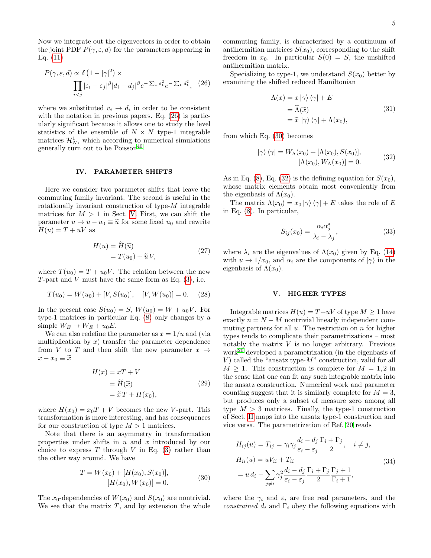Now we integrate out the eigenvectors in order to obtain the joint PDF  $P(\gamma, \varepsilon, d)$  for the parameters appearing in Eq. [\(11\)](#page-2-3)

<span id="page-4-1"></span>
$$
P(\gamma, \varepsilon, d) \propto \delta \left( 1 - |\gamma|^2 \right) \times \prod_{i < j} |\varepsilon_i - \varepsilon_j|^{\beta} |d_i - d_j|^{\beta} e^{-\sum_k \varepsilon_k^2} e^{-\sum_k d_k^2}, \quad (26)
$$

where we substituted  $v_i \rightarrow d_i$  in order to be consistent with the notation in previous papers. Eq. [\(26\)](#page-4-1) is particularly significant because it allows one to study the level statistics of the ensemble of  $N \times N$  type-1 integrable matrices  $\mathcal{H}_N^1$ , which according to numerical simulations generally turn out to be  $Poisson<sup>40</sup>$  $Poisson<sup>40</sup>$  $Poisson<sup>40</sup>$ .

#### <span id="page-4-5"></span>IV. PARAMETER SHIFTS

Here we consider two parameter shifts that leave the commuting family invariant. The second is useful in the rotationally invariant construction of type- $M$  integrable matrices for  $M > 1$  in Sect. [V.](#page-4-0) First, we can shift the parameter  $u \to u - u_0 \equiv \tilde{u}$  for some fixed  $u_0$  and rewrite  $H(u) = T + uV$  as

$$
H(u) = H(\widetilde{u})
$$
  
=  $T(u_0) + \widetilde{u} V,$  (27)

where  $T(u_0) = T + u_0 V$ . The relation between the new T-part and V must have the same form as Eq.  $(3)$ , i.e.

$$
T(u_0) = W(u_0) + [V, S(u_0)], \quad [V, W(u_0)] = 0. \tag{28}
$$

In the present case  $S(u_0) = S$ ,  $W(u_0) = W + u_0 V$ . For type-1 matrices in particular Eq. [\(8\)](#page-2-1) only changes by a simple  $W_E \to W_E + u_0 E$ .

We can also redefine the parameter as  $x = 1/u$  and (via multiplication by  $x$ ) transfer the parameter dependence from V to T and then shift the new parameter  $x \rightarrow$  $x - x_0 \equiv \tilde{x}$ 

$$
H(x) = xT + V
$$
  
=  $\tilde{H}(\tilde{x})$   
=  $\tilde{x}T + H(x_0)$ , (29)

where  $H(x_0) = x_0T + V$  becomes the new V-part. This transformation is more interesting, and has consequences for our construction of type  $M > 1$  matrices.

Note that there is an asymmetry in transformation properties under shifts in  $u$  and  $x$  introduced by our choice to express  $T$  through  $V$  in Eq. [\(3\)](#page-1-2) rather than the other way around. We have

$$
T = W(x_0) + [H(x_0), S(x_0)],
$$
  
\n
$$
[H(x_0), W(x_0)] = 0.
$$
\n(30)

<span id="page-4-2"></span>The  $x_0$ -dependencies of  $W(x_0)$  and  $S(x_0)$  are nontrivial. We see that the matrix  $T$ , and by extension the whole commuting family, is characterized by a continuum of antihermitian matrices  $S(x_0)$ , corresponding to the shift freedom in  $x_0$ . In particular  $S(0) = S$ , the unshifted antihermitian matrix.

Specializing to type-1, we understand  $S(x_0)$  better by examining the shifted reduced Hamiltonian

$$
\Lambda(x) = x |\gamma\rangle \langle \gamma| + E
$$
  
=  $\widetilde{\Lambda}(\widetilde{x})$   
=  $\widetilde{x} |\gamma\rangle \langle \gamma| + \Lambda(x_0),$  (31)

<span id="page-4-3"></span>from which Eq. [\(30\)](#page-4-2) becomes

$$
|\gamma\rangle\langle\gamma| = W_{\Lambda}(x_0) + [\Lambda(x_0), S(x_0)],
$$
  

$$
[\Lambda(x_0), W_{\Lambda}(x_0)] = 0.
$$
 (32)

As in Eq. [\(8\)](#page-2-1), Eq. [\(32\)](#page-4-3) is the defining equation for  $S(x_0)$ , whose matrix elements obtain most conveniently from the eigenbasis of  $\Lambda(x_0)$ .

The matrix  $\Lambda(x_0) = x_0 |\gamma\rangle \langle \gamma| + E$  takes the role of E in Eq. [\(8\)](#page-2-1). In particular,

$$
S_{ij}(x_0) = \frac{\alpha_i \alpha_j^*}{\lambda_i - \lambda_j},\tag{33}
$$

where  $\lambda_i$  are the eigenvalues of  $\Lambda(x_0)$  given by Eq. [\(14\)](#page-2-5) with  $u \to 1/x_0$ , and  $\alpha_i$  are the components of  $|\gamma\rangle$  in the eigenbasis of  $\Lambda(x_0)$ .

### <span id="page-4-0"></span>V. HIGHER TYPES

Integrable matrices  $H(u) = T + uV$  of type  $M \ge 1$  have exactly  $n = N - M$  nontrivial linearly independent commuting partners for all  $u$ . The restriction on  $n$  for higher types tends to complicate their parametrizations – most notably the matrix V is no longer arbitrary. Previous work<sup>[20](#page-9-20)</sup> developed a parametrization (in the eigenbasis of V) called the "ansatz type- $M$ " construction, valid for all  $M \geq 1$ . This construction is complete for  $M = 1, 2$  in the sense that one can fit any such integrable matrix into the ansatz construction. Numerical work and parameter counting suggest that it is similarly complete for  $M = 3$ , but produces only a subset of measure zero among all type  $M > 3$  matrices. Finally, the type-1 construction of Sect. [II](#page-1-4) maps into the ansatz type-1 construction and vice versa. The parametrization of Ref. [20](#page-9-20) reads

<span id="page-4-4"></span>
$$
H_{ij}(u) = T_{ij} = \gamma_i \gamma_j \frac{d_i - d_j}{\varepsilon_i - \varepsilon_j} \frac{\Gamma_i + \Gamma_j}{2}, \quad i \neq j,
$$
  
\n
$$
H_{ii}(u) = uV_{ii} + T_{ii}
$$
  
\n
$$
= u d_i - \sum_{j \neq i} \gamma_j^2 \frac{d_i - d_j}{\varepsilon_i - \varepsilon_j} \frac{\Gamma_i + \Gamma_j}{2} \frac{\Gamma_j + 1}{\Gamma_i + 1},
$$
\n(34)

where the  $\gamma_i$  and  $\varepsilon_i$  are free real parameters, and the constrained  $d_i$  and  $\Gamma_i$  obey the following equations with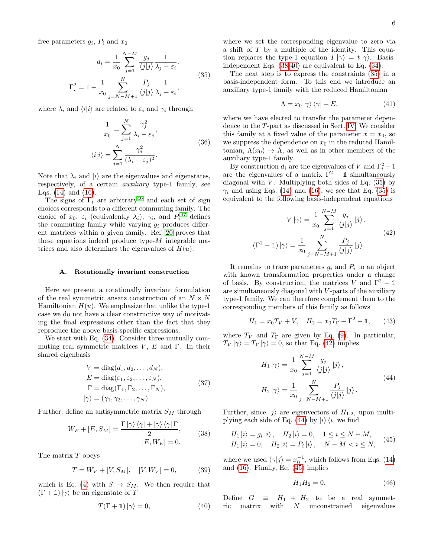<span id="page-5-2"></span>free parameters  $g_i$ ,  $P_i$  and  $x_0$ 

$$
d_i = \frac{1}{x_0} \sum_{j=1}^{N-M} \frac{g_j}{\langle j | j \rangle} \frac{1}{\lambda_j - \varepsilon_i},
$$
  

$$
\Gamma_i^2 = 1 + \frac{1}{x_0} \sum_{j=N-M+1}^{N} \frac{P_j}{\langle j | j \rangle} \frac{1}{\lambda_j - \varepsilon_i},
$$
 (35)

<span id="page-5-6"></span>where  $\lambda_i$  and  $\langle i|i\rangle$  are related to  $\varepsilon_i$  and  $\gamma_i$  through

$$
\frac{1}{x_0} = \sum_{j=1}^{N} \frac{\gamma_j^2}{\lambda_i - \varepsilon_j},
$$
  

$$
\langle i|i\rangle = \sum_{j=1}^{N} \frac{\gamma_j^2}{(\lambda_i - \varepsilon_j)^2}.
$$
 (36)

Note that  $\lambda_i$  and  $|i\rangle$  are the eigenvalues and eigenstates, respectively, of a certain auxiliary type-1 family, see Eqs. [\(14\)](#page-2-5) and [\(16\)](#page-2-6).

The signs of  $\Gamma_i$  are arbitrary<sup>[46](#page-10-7)</sup> and each set of sign choices corresponds to a different commuting family. The choice of  $x_0$ ,  $\varepsilon_i$  (equivalently  $\lambda_i$ ),  $\gamma_i$ , and  $P_i$ <sup>[47](#page-10-8)</sup> defines the commuting family while varying  $g_i$  produces different matrices within a given family. Ref. [20](#page-9-20) proves that these equations indeed produce type- $M$  integrable matrices and also determines the eigenvalues of  $H(u)$ .

#### A. Rotationally invariant construction

Here we present a rotationally invariant formulation of the real symmetric ansatz construction of an  $N \times N$ Hamiltonian  $H(u)$ . We emphasize that unlike the type-1 case we do not have a clear constructive way of motivating the final expressions other than the fact that they reproduce the above basis-specific expressions.

We start with Eq. [\(34\)](#page-4-4). Consider three mutually commuting real symmetric matrices  $V, E$  and Γ. In their shared eigenbasis

$$
V = \text{diag}(d_1, d_2, \dots, d_N),
$$
  
\n
$$
E = \text{diag}(\varepsilon_1, \varepsilon_2, \dots, \varepsilon_N),
$$
  
\n
$$
\Gamma = \text{diag}(\Gamma_1, \Gamma_2, \dots, \Gamma_N),
$$
  
\n
$$
|\gamma\rangle = (\gamma_1, \gamma_2, \dots, \gamma_N).
$$
\n(37)

<span id="page-5-0"></span>Further, define an antisymmetric matrix  $S_M$  through

$$
W_E + [E, S_M] = \frac{\Gamma |\gamma\rangle \langle \gamma| + |\gamma\rangle \langle \gamma| \Gamma}{2},
$$
  
\n
$$
[E, W_E] = 0.
$$
\n(38)

The matrix T obeys

$$
T = W_V + [V, S_M], \quad [V, W_V] = 0,\tag{39}
$$

which is Eq. [\(4\)](#page-1-5) with  $S \to S_M$ . We then require that  $(\Gamma + 1) \ket{\gamma}$  be an eigenstate of T

<span id="page-5-1"></span>
$$
T(\Gamma + \mathbb{1}) | \gamma \rangle = 0, \qquad (40)
$$

where we set the corresponding eigenvalue to zero via a shift of T by a multiple of the identity. This equation replaces the type-1 equation  $T |\gamma\rangle = t |\gamma\rangle$ . Basisindependent Eqs. [\(38-](#page-5-0)[40\)](#page-5-1) are equivalent to Eq. [\(34\)](#page-4-4).

The next step is to express the constraints [\(35\)](#page-5-2) in a basis-independent form. To this end we introduce an auxiliary type-1 family with the reduced Hamiltonian

<span id="page-5-8"></span>
$$
\Lambda = x_0 |\gamma\rangle \langle \gamma| + E,\tag{41}
$$

where we have elected to transfer the parameter dependence to the T-part as discussed in Sect. [IV.](#page-4-5) We consider this family at a fixed value of the parameter  $x = x_0$ , so we suppress the dependence on  $x_0$  in the reduced Hamiltonian,  $\Lambda(x_0) \to \Lambda$ , as well as in other members of the auxiliary type-1 family.

By construction  $d_i$  are the eigenvalues of V and  $\Gamma_i^2 - 1$ are the eigenvalues of a matrix  $\Gamma^2 - \mathbb{1}$  simultaneously diagonal with  $V$ . Multiplying both sides of Eq.  $(35)$  by  $\gamma_i$  and using Eqs. [\(14\)](#page-2-5) and [\(16\)](#page-2-6), we see that Eq. [\(35\)](#page-5-2) is equivalent to the following basis-independent equations

$$
V |\gamma\rangle = \frac{1}{x_0} \sum_{j=1}^{N-M} \frac{g_j}{\langle j | j \rangle} |j\rangle,
$$
  
\n
$$
(\Gamma^2 - 1) |\gamma\rangle = \frac{1}{x_0} \sum_{j=N-M+1}^{N} \frac{P_j}{\langle j | j \rangle} |j\rangle.
$$
\n(42)

<span id="page-5-3"></span>It remains to trace parameters  $g_i$  and  $P_i$  to an object with known transformation properties under a change of basis. By construction, the matrices V and  $\Gamma^2 - \mathbb{1}$ are simultaneously diagonal with V -parts of the auxiliary type-1 family. We can therefore complement them to the corresponding members of this family as follows

<span id="page-5-9"></span>
$$
H_1 = x_0 T_V + V, \quad H_2 = x_0 T_\Gamma + \Gamma^2 - \mathbb{1}, \tag{43}
$$

where  $T_V$  and  $T_{\Gamma}$  are given by Eq. [\(9\)](#page-2-2). In particular,  $T_V |\gamma\rangle = T_{\Gamma} |\gamma\rangle = 0$ , so that Eq. [\(42\)](#page-5-3) implies

$$
H_1 |\gamma\rangle = \frac{1}{x_0} \sum_{j=1}^{N-M} \frac{g_j}{\langle j | j \rangle} |j\rangle,
$$
  

$$
H_2 |\gamma\rangle = \frac{1}{x_0} \sum_{j=N-M+1}^{N} \frac{P_j}{\langle j | j \rangle} |j\rangle.
$$
 (44)

<span id="page-5-4"></span>Further, since  $|j\rangle$  are eigenvectors of  $H_{1,2}$ , upon multi-plying each side of Eq. [\(44\)](#page-5-4) by  $|i\rangle\langle i|$  we find

<span id="page-5-5"></span>
$$
H_1 |i\rangle = g_i |i\rangle, \quad H_2 |i\rangle = 0, \quad 1 \le i \le N - M,
$$
  
\n
$$
H_1 |i\rangle = 0, \quad H_2 |i\rangle = P_i |i\rangle, \quad N - M < i \le N,
$$
\n
$$
(45)
$$

where we used  $\langle \gamma | j \rangle = x_0^{-1}$ , which follows from Eqs. [\(14\)](#page-2-5) and [\(16\)](#page-2-6). Finally, Eq. [\(45\)](#page-5-5) implies

$$
H_1 H_2 = 0.\t\t(46)
$$

<span id="page-5-7"></span>Define  $G \equiv H_1 + H_2$  to be a real symmetric matrix with  $N$  unconstrained eigenvalues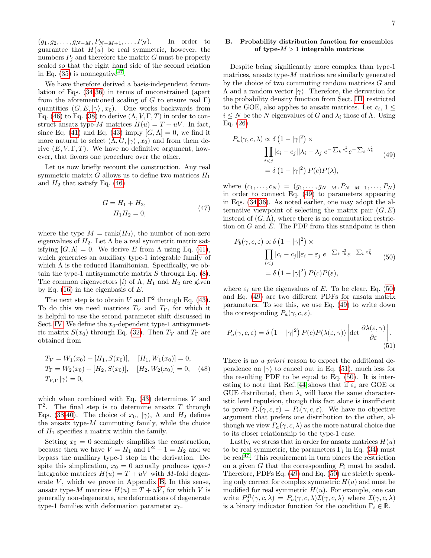$(g_1, g_2, \ldots, g_{N-M}, P_{N-M+1}, \ldots, P_N)$ . In order to guarantee that  $H(u)$  be real symmetric, however, the numbers  $P_i$  and therefore the matrix G must be properly scaled so that the right hand side of the second relation in Eq.  $(35)$  is nonnegative<sup>[47](#page-10-8)</sup>.

We have therefore derived a basis-independent formulation of Eqs. [\(34](#page-4-4)[-36\)](#page-5-6) in terms of unconstrained (apart from the aforementioned scaling of G to ensure real  $\Gamma$ ) quantities  $(G, E, |\gamma\rangle, x_0)$ . One works backwards from Eq. [\(46\)](#page-5-7) to Eq. [\(38\)](#page-5-0) to derive  $(\Lambda, V, \Gamma, T)$  in order to construct ansatz type-M matrices  $H(u) = T + uV$ . In fact, since Eq. [\(41\)](#page-5-8) and Eq. [\(43\)](#page-5-9) imply  $[G, \Lambda] = 0$ , we find it more natural to select  $(\Lambda, G, |\gamma\rangle, x_0)$  and from them derive  $(E, V, \Gamma, T)$ . We have no definitive argument, however, that favors one procedure over the other.

Let us now briefly recount the construction. Any real symmetric matrix  $G$  allows us to define two matrices  $H_1$ and  $H_2$  that satisfy Eq. [\(46\)](#page-5-7)

$$
G = H_1 + H_2,
$$
  
\n
$$
H_1 H_2 = 0,
$$
\n(47)

where the type  $M = \text{rank}(H_2)$ , the number of non-zero eigenvalues of  $H_2$ . Let  $\Lambda$  be a real symmetric matrix satisfying  $[G, \Lambda] = 0$ . We derive E from  $\Lambda$  using Eq. [\(41\)](#page-5-8), which generates an auxiliary type-1 integrable family of which  $\Lambda$  is the reduced Hamiltonian. Specifically, we obtain the type-1 antisymmetric matrix  $S$  through Eq.  $(8)$ . The common eigenvectors  $|i\rangle$  of  $\Lambda$ ,  $H_1$  and  $H_2$  are given by Eq.  $(16)$  in the eigenbasis of E.

The next step is to obtain V and  $\Gamma^2$  through Eq. [\(43\)](#page-5-9). To do this we need matrices  $T_V$  and  $T_\Gamma$ , for which it is helpful to use the second parameter shift discussed in Sect. [IV.](#page-4-5) We define the  $x_0$ -dependent type-1 antisymmetric matrix  $S(x_0)$  through Eq. [\(32\)](#page-4-3). Then  $T_V$  and  $T_{\Gamma}$  are obtained from

$$
T_V = W_1(x_0) + [H_1, S(x_0)], \quad [H_1, W_1(x_0)] = 0,
$$
  
\n
$$
T_\Gamma = W_2(x_0) + [H_2, S(x_0)], \quad [H_2, W_2(x_0)] = 0, \quad (48)
$$
  
\n
$$
T_{V,\Gamma} |\gamma\rangle = 0,
$$

which when combined with Eq.  $(43)$  determines V and  $\Gamma^2$ . The final step is to determine ansatz T through Eqs. [\(38](#page-5-0)[-40\)](#page-5-1). The choice of  $x_0$ ,  $|\gamma\rangle$ ,  $\Lambda$  and  $H_2$  defines the ansatz type- $M$  commuting family, while the choice of  $H_1$  specifies a matrix within the family.

Setting  $x_0 = 0$  seemingly simplifies the construction, because then we have  $V = H_1$  and  $\Gamma^2 - 1 = H_2$  and we bypass the auxiliary type-1 step in the derivation. Despite this simplication,  $x_0 = 0$  actually produces type-1 integrable matrices  $H(u) = T + uV$  with M-fold degenerate  $V$ , which we prove in Appendix [B.](#page-8-0) In this sense, ansatz type-M matrices  $H(u) = T + uV$ , for which V is generally non-degenerate, are deformations of degenerate type-1 families with deformation parameter  $x_0$ .

# B. Probability distribution function for ensembles of type- $M > 1$  integrable matrices

Despite being significantly more complex than type-1 matrices, ansatz type- $M$  matrices are similarly generated by the choice of two commuting random matrices G and  $Λ$  and a random vector  $|γ\rangle$ . Therefore, the derivation for the probability density function from Sect. [III,](#page-3-0) restricted to the GOE, also applies to ansatz matrices. Let  $c_i$ ,  $1 \leq$  $i \leq N$  be the N eigenvalues of G and  $\lambda_i$  those of  $\Lambda$ . Using Eq. [\(26\)](#page-4-1)

<span id="page-6-0"></span>
$$
P_a(\gamma, c, \lambda) \propto \delta \left(1 - |\gamma|^2\right) \times
$$
  

$$
\prod_{i < j} |c_i - c_j| |\lambda_i - \lambda_j| e^{-\sum_k c_k^2} e^{-\sum_k \lambda_k^2}
$$
 (49)  

$$
= \delta \left(1 - |\gamma|^2\right) P(c) P(\lambda),
$$

where  $(c_1, \ldots, c_N) = (g_1, \ldots, g_{N-M}, P_{N-M+1}, \ldots, P_N)$ in order to connect Eq. [\(49\)](#page-6-0) to parameters appearing in Eqs. [\(34-](#page-4-4)[36\)](#page-5-6). As noted earlier, one may adopt the alternative viewpoint of selecting the matrix pair  $(G, E)$ instead of  $(G, \Lambda)$ , where there is no commutation restriction on  $G$  and  $E$ . The PDF from this standpoint is then

<span id="page-6-1"></span>
$$
P_b(\gamma, c, \varepsilon) \propto \delta \left( 1 - |\gamma|^2 \right) \times
$$
  

$$
\prod_{i < j} |c_i - c_j| |\varepsilon_i - \varepsilon_j| e^{-\sum_k c_k^2} e^{-\sum_k \varepsilon_k^2}
$$
  

$$
= \delta \left( 1 - |\gamma|^2 \right) P(c) P(\varepsilon), \tag{50}
$$

where  $\varepsilon_i$  are the eigenvalues of E. To be clear, Eq. [\(50\)](#page-6-1) and Eq. [\(49\)](#page-6-0) are two different PDFs for ansatz matrix parameters. To see this, we use Eq. [\(49\)](#page-6-0) to write down the corresponding  $P_a(\gamma, c, \varepsilon)$ .

<span id="page-6-2"></span>
$$
P_a(\gamma, c, \varepsilon) = \delta \left(1 - |\gamma|^2\right) P(c) P(\lambda(\varepsilon, \gamma)) \left| \det \frac{\partial \lambda(\varepsilon, \gamma)}{\partial \varepsilon} \right|.
$$
\n(51)

There is no *a priori* reason to expect the additional dependence on  $|\gamma\rangle$  to cancel out in Eq. [\(51\)](#page-6-2), much less for the resulting PDF to be equal to Eq. [\(50\)](#page-6-1). It is inter-esting to note that Ref. [44](#page-10-9) shows that if  $\varepsilon_i$  are GOE or GUE distributed, then  $\lambda_i$  will have the same characteristic level repulsion, though this fact alone is insufficient to prove  $P_a(\gamma, c, \varepsilon) = P_b(\gamma, c, \varepsilon)$ . We have no objective argument that prefers one distribution to the other, although we view  $P_a(\gamma, c, \lambda)$  as the more natural choice due to its closer relationship to the type-1 case.

Lastly, we stress that in order for ansatz matrices  $H(u)$ to be real symmetric, the parameters  $\Gamma_i$  in Eq. [\(34\)](#page-4-4) must be real<sup>[47](#page-10-8)</sup>. This requirement in turn places the restriction on a given G that the corresponding  $P_i$  must be scaled. Therefore, PDFs Eq. [\(49\)](#page-6-0) and Eq. [\(50\)](#page-6-1) are strictly speaking only correct for complex symmetric  $H(u)$  and must be modified for real symmetric  $H(u)$ . For example, one can write  $P_a^R(\gamma, c, \lambda) = P_a(\gamma, c, \lambda) \mathcal{I}(\gamma, c, \lambda)$  where  $\mathcal{I}(\gamma, c, \lambda)$ is a binary indicator function for the condition  $\Gamma_i \in \mathbb{R}$ .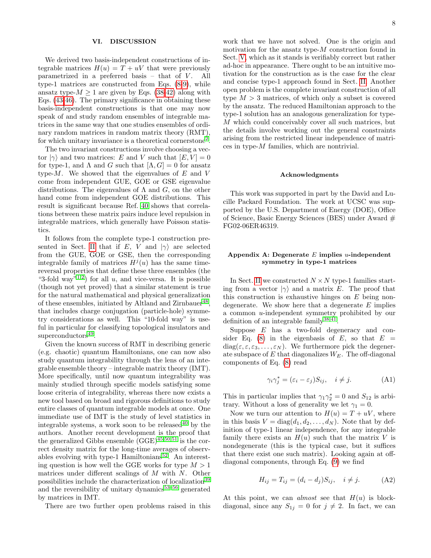## VI. DISCUSSION

We derived two basis-independent constructions of integrable matrices  $H(u) = T + uV$  that were previously parametrized in a preferred basis  $-$  that of  $V$ . All type-1 matrices are constructed from Eqs. [\(8-](#page-2-1)[9\)](#page-2-2), while ansatz type- $M \geq 1$  are given by Eqs. [\(38-](#page-5-0)[42\)](#page-5-3) along with Eqs. [\(43-](#page-5-9)[46\)](#page-5-7). The primary significance in obtaining these basis-independent constructions is that one may now speak of and study random ensembles of integrable matrices in the same way that one studies ensembles of ordinary random matrices in random matrix theory (RMT), for which unitary invariance is a theoretical cornerstone<sup>[2](#page-9-21)</sup>.

The two invariant constructions involve choosing a vector  $|\gamma\rangle$  and two matrices: E and V such that  $[E, V] = 0$ for type-1, and  $\Lambda$  and  $G$  such that  $[\Lambda, G] = 0$  for ansatz type- $M$ . We showed that the eigenvalues of  $E$  and  $V$ come from independent GUE, GOE or GSE eigenvalue distributions. The eigenvalues of  $\Lambda$  and  $G$ , on the other hand come from independent GOE distributions. This result is significant because Ref. [40](#page-10-3) shows that correlations between these matrix pairs induce level repulsion in integrable matrices, which generally have Poisson statistics.

It follows from the complete type-1 construction pre-sented in Sect. [II](#page-1-4) that if E, V and  $|\gamma\rangle$  are selected from the GUE, GOE or GSE, then the corresponding integrable family of matrices  $H^j(u)$  has the same timereversal properties that define these three ensembles (the "3-fold way"<sup>[1](#page-9-0)[,2](#page-9-21)</sup>) for all u, and vice-versa. It is possible (though not yet proved) that a similar statement is true for the natural mathematical and physical generalization of these ensembles, initiated by Altland and Zirnbauer<sup>[48](#page-10-10)</sup>, that includes charge conjugation (particle-hole) symmetry considerations as well. This "10-fold way" is useful in particular for classifying topological insulators and superconductors<sup>[49](#page-10-11)</sup>.

Given the known success of RMT in describing generic (e.g. chaotic) quantum Hamiltonians, one can now also study quantum integrability through the lens of an integrable ensemble theory – integrable matrix theory (IMT). More specifically, until now quantum integrability was mainly studied through specific models satisfying some loose criteria of integrability, whereas there now exists a new tool based on broad and rigorous definitions to study entire classes of quantum integrable models at once. One immediate use of IMT is the study of level statistics in integrable systems, a work soon to be released  $40$  by the authors. Another recent development is the proof that the generalized Gibbs ensemble  $(GGE)^{45,50,51}$  $(GGE)^{45,50,51}$  $(GGE)^{45,50,51}$  $(GGE)^{45,50,51}$  $(GGE)^{45,50,51}$  is the correct density matrix for the long-time averages of observables evolving with type-1 Hamiltonians $52$ . An interesting question is how well the GGE works for type  $M > 1$ matrices under different scalings of M with N. Other possibilities include the characterization of localization<sup>[39](#page-10-2)</sup> and the reversibility of unitary dynamics $53-56$  $53-56$  generated by matrices in IMT.

There are two further open problems raised in this

work that we have not solved. One is the origin and motivation for the ansatz type- $M$  construction found in Sect. [V,](#page-4-0) which as it stands is verifiably correct but rather ad-hoc in appearance. There ought to be an intuitive motivation for the construction as is the case for the clear and concise type-1 approach found in Sect. [II.](#page-1-4) Another open problem is the complete invariant construction of all type  $M > 3$  matrices, of which only a subset is covered by the ansatz. The reduced Hamiltonian approach to the type-1 solution has an analogous generalization for type-M which could conceivably cover all such matrices, but the details involve working out the general constraints arising from the restricted linear independence of matrices in type-M families, which are nontrivial.

## Acknowledgments

This work was supported in part by the David and Lucille Packard Foundation. The work at UCSC was supported by the U.S. Department of Energy (DOE), Office of Science, Basic Energy Sciences (BES) under Award  $#$ FG02-06ER46319.

# <span id="page-7-0"></span>Appendix A: Degenerate  $E$  implies *u*-independent symmetry in type-1 matrices

In Sect. [II](#page-1-4) we constructed  $N \times N$  type-1 families starting from a vector  $|\gamma\rangle$  and a matrix E. The proof that this construction is exhaustive hinges on  $E$  being nondegenerate. We show here that a degenerate  $E$  implies a common u-independent symmetry prohibited by our definition of an integrable family  $38,41$  $38,41$ .

Suppose E has a two-fold degeneracy and con-sider Eq. [\(8\)](#page-2-1) in the eigenbasis of E, so that  $E =$  $diag(\varepsilon, \varepsilon, \varepsilon_3, \ldots, \varepsilon_N)$ . We furthermore pick the degenerate subspace of  $E$  that diagonalizes  $W_E$ . The off-diagonal components of Eq. [\(8\)](#page-2-1) read

<span id="page-7-2"></span>
$$
\gamma_i \gamma_j^* = (\varepsilon_i - \varepsilon_j) S_{ij}, \quad i \neq j. \tag{A1}
$$

This in particular implies that  $\gamma_1 \gamma_2^* = 0$  and  $S_{12}$  is arbitrary. Without a loss of generality we let  $\gamma_1 = 0$ .

Now we turn our attention to  $H(u) = T + uV$ , where in this basis  $V = diag(d_1, d_2, \ldots, d_N)$ . Note that by definition of type-1 linear independence, for any integrable family there exists an  $H(u)$  such that the matrix V is nondegenerate (this is the typical case, but it suffices that there exist one such matrix). Looking again at offdiagonal components, through Eq. [\(9\)](#page-2-2) we find

$$
H_{ij} = T_{ij} = (d_i - d_j)S_{ij}, \quad i \neq j.
$$
 (A2)

<span id="page-7-1"></span>At this point, we can *almost* see that  $H(u)$  is blockdiagonal, since any  $S_{1j} = 0$  for  $j \neq 2$ . In fact, we can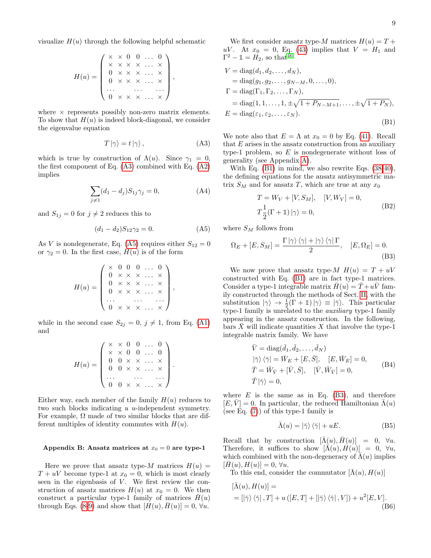9

visualize  $H(u)$  through the following helpful schematic

$$
H(u) = \left( \begin{array}{c} \times & \times & 0 & 0 & \dots & 0 \\ \times & \times & \times & \times & \dots & \times \\ 0 & \times & \times & \times & \dots & \times \\ 0 & \times & \times & \times & \dots & \times \\ \dots & \dots & \dots & \dots & \dots \\ 0 & \times & \times & \times & \dots & \times \end{array} \right),
$$

where  $\times$  represents possibly non-zero matrix elements. To show that  $H(u)$  is indeed block-diagonal, we consider the eigenvalue equation

<span id="page-8-1"></span>
$$
T|\gamma\rangle = t|\gamma\rangle\,,\tag{A3}
$$

which is true by construction of  $\Lambda(u)$ . Since  $\gamma_1 = 0$ , the first component of Eq. [\(A3\)](#page-8-1) combined with Eq. [\(A2\)](#page-7-1) implies

$$
\sum_{j \neq 1} (d_1 - d_j) S_{1j} \gamma_j = 0,
$$
 (A4)

and  $S_{1j} = 0$  for  $j \neq 2$  reduces this to

<span id="page-8-2"></span>
$$
(d_1 - d_2)S_{12}\gamma_2 = 0.\t\t(A5)
$$

As V is nondegenerate, Eq. [\(A5\)](#page-8-2) requires either  $S_{12} = 0$ or  $\gamma_2 = 0$ . In the first case,  $H(u)$  is of the form

$$
H(u) = \left(\begin{array}{cccc} \times & 0 & 0 & 0 & \dots & 0 \\ 0 & \times & \times & \times & \dots & \times \\ 0 & \times & \times & \times & \dots & \times \\ 0 & \times & \times & \times & \dots & \times \\ \dots & \dots & \dots & \dots & \dots \\ 0 & \times & \times & \times & \dots & \times \end{array}\right),
$$

while in the second case  $S_{2j} = 0, j \neq 1$ , from Eq. [\(A1\)](#page-7-2) and

$$
H(u) = \left(\begin{array}{cccc} \times & \times & 0 & 0 & \dots & 0 \\ \times & \times & 0 & 0 & \dots & 0 \\ 0 & 0 & \times & \times & \dots & \times \\ 0 & 0 & \times & \times & \dots & \times \\ \dots & \dots & \dots & \dots & \dots \\ 0 & 0 & \times & \times & \dots & \times \end{array}\right).
$$

Either way, each member of the family  $H(u)$  reduces to two such blocks indicating a u-independent symmetry. For example,  $\Omega$  made of two similar blocks that are different multiples of identity commutes with  $H(u)$ .

## <span id="page-8-0"></span>Appendix B: Ansatz matrices at  $x_0 = 0$  are type-1

Here we prove that ansatz type-M matrices  $H(u)$  =  $T + uV$  become type-1 at  $x_0 = 0$ , which is most clearly seen in the eigenbasis of  $V$ . We first review the construction of ansatz matrices  $H(u)$  at  $x_0 = 0$ . We then construct a particular type-1 family of matrices  $H(u)$ through Eqs. [\(8-](#page-2-1)[9\)](#page-2-2) and show that  $[H(u), H(u)] = 0, \forall u$ .

We first consider ansatz type-M matrices  $H(u) = T +$ uV. At  $x_0 = 0$ , Eq. [\(43\)](#page-5-9) implies that  $V = H_1$  and  $\Gamma^2 - \mathbb{1} = H_2$ , so that<sup>[46](#page-10-7)</sup>

<span id="page-8-3"></span>
$$
V = diag(d_1, d_2, ..., d_N),
$$
  
= diag(g\_1, g\_2, ..., g\_{N-M}, 0, ..., 0),  

$$
\Gamma = diag(\Gamma_1, \Gamma_2, ..., \Gamma_N),
$$
  
= diag(1, 1, ..., 1,  $\pm \sqrt{1 + P_{N-M+1}}, ..., \pm \sqrt{1 + P_N}),$   

$$
E = diag(\varepsilon_1, \varepsilon_2, ..., \varepsilon_N).
$$
 (B1)

We note also that  $E = \Lambda$  at  $x_0 = 0$  by Eq. [\(41\)](#page-5-8). Recall that  $E$  arises in the ansatz construction from an auxiliary type-1 problem, so  $E$  is nondegenerate without loss of generality (see Appendix [A\)](#page-7-0).

With Eq. [\(B1\)](#page-8-3) in mind, we also rewrite Eqs. [\(38](#page-5-0)[-40\)](#page-5-1), the defining equations for the ansatz antisymmetric matrix  $S_M$  and for ansatz T, which are true at any  $x_0$ 

$$
T = W_V + [V, S_M], \quad [V, W_V] = 0,
$$
  
\n
$$
T\frac{1}{2}(\Gamma + 1) | \gamma \rangle = 0,
$$
 (B2)

<span id="page-8-6"></span>where  $S_M$  follows from

<span id="page-8-4"></span>
$$
\Omega_E + [E, S_M] = \frac{\Gamma |\gamma\rangle \langle \gamma| + |\gamma\rangle \langle \gamma| \Gamma}{2}, \quad [E, \Omega_E] = 0.
$$
\n(B3)

We now prove that ansatz type- $M H(u) = T + uV$ constructed with Eq. [\(B1\)](#page-8-3) are in fact type-1 matrices. Consider a type-1 integrable matrix  $\bar{H}(u) = \bar{T}+u\bar{V}$  family constructed through the methods of Sect. [II,](#page-1-4) with the substitution  $|\gamma\rangle \rightarrow \frac{1}{2}(\Gamma + \mathbb{1})|\gamma\rangle \equiv |\bar{\gamma}\rangle$ . This particular type-1 family is unrelated to the *auxiliary* type-1 family appearing in the ansatz construction. In the following, bars X will indicate quantities X that involve the type-1 integrable matrix family. We have

<span id="page-8-7"></span>
$$
\begin{aligned}\n\bar{V} &= \text{diag}(\bar{d}_1, \bar{d}_2, \dots, \bar{d}_N) \\
|\bar{\gamma}\rangle \langle \bar{\gamma}| &= \bar{W}_E + [E, \bar{S}], \quad [E, \bar{W}_E] = 0, \\
\bar{T} &= \bar{W}_{\bar{V}} + [\bar{V}, \bar{S}], \quad [\bar{V}, \bar{W}_{\bar{V}}] = 0, \\
\bar{T} | \bar{\gamma}\rangle &= 0,\n\end{aligned} \tag{B4}
$$

where  $E$  is the same as in Eq. [\(B3\)](#page-8-4), and therefore  $[E, V] = 0$ . In particular, the reduced Hamiltonian  $\Lambda(u)$ (see Eq. [\(7\)](#page-2-0)) of this type-1 family is

$$
\bar{\Lambda}(u) = |\bar{\gamma}\rangle \langle \bar{\gamma}| + uE. \tag{B5}
$$

Recall that by construction  $[\overline{\Lambda}(u), \overline{H}(u)] = 0$ ,  $\forall u$ . Therefore, it suffices to show  $[\bar{\Lambda}(u), H(u)] = 0, \forall u$ , which combined with the non-degeneracy of  $\bar{\Lambda}(u)$  implies  $[H(u), H(u)] = 0, \forall u.$ 

To this end, consider the commutator  $[\overline{\Lambda}(u), H(u)]$ 

<span id="page-8-5"></span>
$$
[\bar{\Lambda}(u), H(u)] =
$$
  
=  $[\vert \bar{\gamma} \rangle \langle \bar{\gamma} \vert, T] + u ([E, T] + [\vert \bar{\gamma} \rangle \langle \bar{\gamma} \vert, V]) + u^2 [E, V].$  (B6)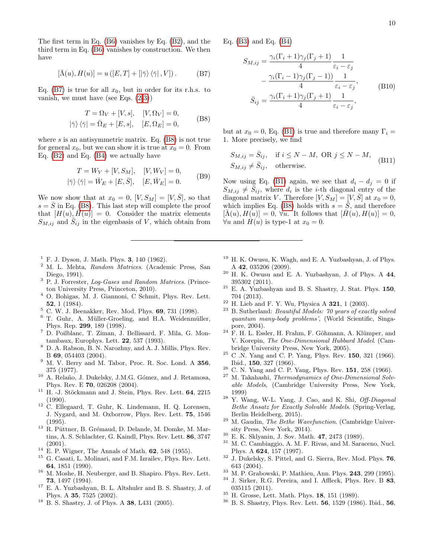The first term in Eq. [\(B6\)](#page-8-5) vanishes by Eq. [\(B2\)](#page-8-6), and the third term in Eq. [\(B6\)](#page-8-5) vanishes by construction. We then have

$$
\left[\bar{\Lambda}(u),H(u)\right] = u\left(\left[E,T\right]+\left[\left|\bar{\gamma}\right\rangle\left\langle\bar{\gamma}\right|,V\right]\right). \tag{B7}
$$

<span id="page-9-23"></span>Eq. [\(B7\)](#page-9-23) is true for all  $x_0$ , but in order for its r.h.s. to vanish, we must have (see Eqs. [\(2-](#page-1-3)[3\)](#page-1-2))

$$
T = \Omega_V + [V, s], \quad [V, \Omega_V] = 0,
$$
  

$$
|\bar{\gamma}\rangle \langle \bar{\gamma}| = \bar{\Omega}_E + [E, s], \quad [E, \Omega_E] = 0,
$$
 (B8)

<span id="page-9-24"></span>where  $s$  is an antisymmetric matrix. Eq.  $(B8)$  is not true for general  $x_0$ , but we can show it is true at  $x_0 = 0$ . From Eq. [\(B2\)](#page-8-6) and Eq. [\(B4\)](#page-8-7) we actually have

$$
T = W_V + [V, S_M], \quad [V, W_V] = 0,
$$
  

$$
|\bar{\gamma}\rangle \langle \bar{\gamma}| = \bar{W}_E + [E, \bar{S}], \quad [E, \bar{W}_E] = 0.
$$
 (B9)

We now show that at  $x_0 = 0$ ,  $[V, S_M] = [V, \overline{S}]$ , so that  $s = S$  in Eq. [\(B8\)](#page-9-24). This last step will complete the proof that  $[H(u), H(u)] = 0$ . Consider the matrix elements  $S_{M,ij}$  and  $\hat{S}_{ij}$  in the eigenbasis of V, which obtain from

- <span id="page-9-0"></span> $1 F. J. Dyson, J. Math. Phys. 3, 140 (1962).$
- <span id="page-9-21"></span><sup>2</sup> M. L. Mehta, Random Matrices. (Academic Press, San Diego, 1991).
- <span id="page-9-22"></span><sup>3</sup> P. J. Forrester, Log-Gases and Random Matrices. (Princeton University Press, Princeton, 2010).
- <sup>4</sup> O. Bohigas, M. J. Giannoni, C Schmit, Phys. Rev. Lett. 52, 1 (1984).
- <sup>5</sup> C. W. J. Beenakker, Rev. Mod. Phys. 69, 731 (1998).
- <span id="page-9-1"></span> $6$  T. Guhr, A. Müller-Groeling, and H.A. Weidenmüller, Phys. Rep. 299, 189 (1998).
- <span id="page-9-2"></span><sup>7</sup> D. Poilblanc, T. Ziman, J. Bellissard, F. Mila, G. Montambaux, Europhys. Lett. 22, 537 (1993).
- <sup>8</sup> D. A. Rabson, B. N. Narozhny, and A. J. Millis, Phys. Rev. B 69, 054403 (2004).
- <sup>9</sup> M. V. Berry and M. Tabor, Proc. R. Soc. Lond. A 356, 375 (1977).
- $10$  A. Relaño, J. Dukelsky, J.M.G. Gómez, and J. Retamosa, Phys. Rev. E 70, 026208 (2004).
- $11$  H. -J. Stöckmann and J. Stein, Phys. Rev. Lett.  $64$ ,  $2215$  $(1990)$ .
- <sup>12</sup> C. Ellegaard, T. Guhr, K. Lindemann, H. Q. Lorensen, J. Nygard, and M. Oxborrow, Phys. Rev. Lett. 75, 1546 (1995).
- <span id="page-9-3"></span><sup>13</sup> R. Püttner, B. Grémaud, D. Delande, M. Domke, M. Martins, A. S. Schlachter, G. Kaindl, Phys. Rev. Lett. 86, 3747  $(2001).$
- <span id="page-9-4"></span> $14$  E. P. Wigner, The Annals of Math. 62, 548 (1955).
- <span id="page-9-5"></span><sup>15</sup> G. Casati, L. Molinari, and F.M. Izrailev, Phys. Rev. Lett. 64, 1851 (1990).
- <span id="page-9-6"></span> $^{16}\,$  M. Moshe, H. Neuberger, and B. Shapiro. Phys. Rev. Lett. 73, 1497 (1994).
- <span id="page-9-7"></span><sup>17</sup> E. A. Yuzbashyan, B. L. Altshuler and B. S. Shastry, J. of Phys. A 35, 7525 (2002).
- <span id="page-9-18"></span> $18$  B. S. Shastry, J. of Phys. A 38, L431 (2005).

Eq. [\(B3\)](#page-8-4) and Eq. [\(B4\)](#page-8-7)

$$
S_{M,ij} = \frac{\gamma_i(\Gamma_i + 1)\gamma_j(\Gamma_j + 1)}{4} \frac{1}{\varepsilon_i - \varepsilon_j}
$$

$$
- \frac{\gamma_i(\Gamma_i - 1)\gamma_j(\Gamma_j - 1))}{4} \frac{1}{\varepsilon_i - \varepsilon_j},
$$
(B10)
$$
\bar{S}_{ij} = \frac{\gamma_i(\Gamma_i + 1)\gamma_j(\Gamma_j + 1)}{4} \frac{1}{\varepsilon_i - \varepsilon_j},
$$

but at  $x_0 = 0$ , Eq. [\(B1\)](#page-8-3) is true and therefore many  $\Gamma_i =$ 1. More precisely, we find

$$
S_{M,ij} = \bar{S}_{ij}, \quad \text{if } i \le N - M, \text{ OR } j \le N - M, \quad (B11)
$$
  

$$
S_{M,ij} \ne \bar{S}_{ij}, \quad \text{otherwise.}
$$

Now using Eq. [\(B1\)](#page-8-3) again, we see that  $d_i - d_j = 0$  if  $S_{M,ij} \neq \overline{S}_{ij}$ , where  $d_i$  is the *i*-th diagonal entry of the diagonal matrix V. Therefore  $[V, S_M] = [V, \overline{S}]$  at  $x_0 = 0$ , which implies Eq. [\(B8\)](#page-9-24) holds with  $s = \overline{S}$ , and therefore  $[\bar{\Lambda}(u), H(u)] = 0$ ,  $\forall u$ . It follows that  $[H(u), H(u)] = 0$ ,  $\forall u$  and  $H(u)$  is type-1 at  $x_0 = 0$ .

- <span id="page-9-19"></span>H. K. Owusu, K. Wagh, and E. A. Yuzbashyan, J. of Phys. A 42, 035206 (2009).
- <span id="page-9-20"></span> $20$  H. K. Owusu and E. A. Yuzbashyan, J. of Phys. A  $44$ , 395302 (2011).
- <span id="page-9-8"></span> $21$  E. A. Yuzbashyan and B. S. Shastry, J. Stat. Phys. 150, 704 (2013).
- <span id="page-9-9"></span><sup>22</sup> H. Lieb and F. Y. Wu, Physica A **321**, 1 (2003).<br><sup>23</sup> B. Suthorland: *Bequisibel Modele: 70 years of exa*
- <sup>23</sup> B. Sutherland: Beautiful Models: 70 years of exactly solved quantum many-body problems', (World Scientific, Singapore, 2004).
- <span id="page-9-10"></span> $24$  F. H. L. Essler, H. Frahm, F. Göhmann, A. Klümper, and V. Korepin, The One-Dimensional Hubbard Model. (Cambridge University Press, New York, 2005).
- <span id="page-9-11"></span> $25$  C .N. Yang and C. P. Yang, Phys. Rev.  $150$ ,  $321$  (1966). Ibid., 150, 327 (1966).
- <sup>26</sup> C. N. Yang and C. P. Yang, Phys. Rev. **151**, 258 (1966).<br><sup>27</sup> M. Talphachi. Themsedynamics of One Dimensional Solution
- M. Takahashi, Thermodynamics of One-Dimensional Solvable Models, (Cambridge University Press, New York, 1999)
- <span id="page-9-12"></span> $28$  Y. Wang, W-L. Yang, J. Cao, and K. Shi, *Off-Diagonal* Bethe Ansatz for Exactly Solvable Models. (Spring-Verlag, Berlin Heidelberg, 2015).
- <span id="page-9-13"></span><sup>29</sup> M. Gaudin, *The Bethe Wavefunction*. (Cambridge University Press, New York, 2014).
- <span id="page-9-14"></span> $30$  E. K. Sklyanin, J. Sov. Math. 47, 2473 (1989).<br> $31$  M. C. Cambiaggio A. M. E. Biyes, and M. Sara
- M. C. Cambiaggio, A. M. F. Rivas, and M. Saraceno, Nucl. Phys. A 624, 157 (1997).
- <span id="page-9-15"></span><sup>32</sup> J. Dukelsky, S. Pittel, and G. Sierra, Rev. Mod. Phys. 76, 643 (2004).
- <span id="page-9-16"></span><sup>33</sup> M. P. Grabowski, P. Mathieu, Ann. Phys. **243**, 299 (1995).<br><sup>34</sup> J. Sinker, B.C. Baroire, and J. Affloak, Bhys. Box. B. 22.
- J. Sirker, R.G. Pereira, and I. Affleck, Phys. Rev. B 83, 035115 (2011).
- <sup>35</sup> H. Grosse, Lett. Math. Phys. 18, 151 (1989).
- <span id="page-9-17"></span><sup>36</sup> B. S. Shastry, Phys. Rev. Lett. 56, 1529 (1986). Ibid., 56,